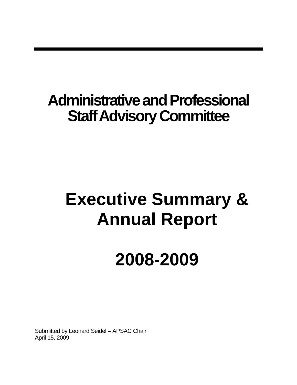# **Administrative and Professional Staff Advisory Committee**

# **Executive Summary & Annual Report**

# **2008-2009**

Submitted by Leonard Seidel – APSAC Chair April 15, 2009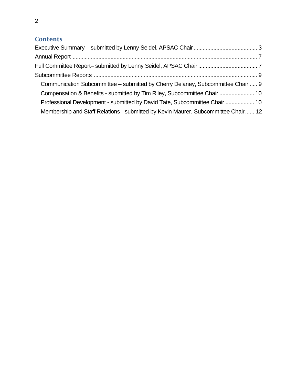### **Contents**

| Communication Subcommittee - submitted by Cherry Delaney, Subcommittee Chair  9   |  |
|-----------------------------------------------------------------------------------|--|
| Compensation & Benefits - submitted by Tim Riley, Subcommittee Chair  10          |  |
| Professional Development - submitted by David Tate, Subcommittee Chair  10        |  |
| Membership and Staff Relations - submitted by Kevin Maurer, Subcommittee Chair 12 |  |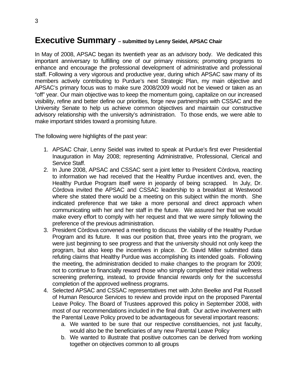### <span id="page-2-0"></span>**Executive Summary – submitted by Lenny Seidel, APSAC Chair**

In May of 2008, APSAC began its twentieth year as an advisory body. We dedicated this important anniversary to fulfilling one of our primary missions; promoting programs to enhance and encourage the professional development of administrative and professional staff. Following a very vigorous and productive year, during which APSAC saw many of its members actively contributing to Purdue's next Strategic Plan, my main objective and APSAC's primary focus was to make sure 2008/2009 would not be viewed or taken as an "off" year. Our main objective was to keep the momentum going, capitalize on our increased visibility, refine and better define our priorities, forge new partnerships with CSSAC and the University Senate to help us achieve common objectives and maintain our constructive advisory relationship with the university's administration. To those ends, we were able to make important strides toward a promising future.

The following were highlights of the past year:

- 1. APSAC Chair, Lenny Seidel was invited to speak at Purdue's first ever Presidential Inauguration in May 2008; representing Administrative, Professional, Clerical and Service Staff.
- 2. In June 2008, APSAC and CSSAC sent a joint letter to President Còrdova, reacting to information we had received that the Healthy Purdue incentives and, even, the Healthy Purdue Program itself were in jeopardy of being scrapped. In July, Dr. Còrdova invited the APSAC and CSSAC leadership to a breakfast at Westwood where she stated there would be a meeting on this subject within the month. She indicated preference that we take a more personal and direct approach when communicating with her and her staff in the future. We assured her that we would make every effort to comply with her request and that we were simply following the preference of the previous administration.
- 3. President Còrdova convened a meeting to discuss the viability of the Healthy Purdue Program and its future. It was our position that, three years into the program, we were just beginning to see progress and that the university should not only keep the program, but also keep the incentives in place. Dr. David Miller submitted data refuting claims that Healthy Purdue was accomplishing its intended goals. Following the meeting, the administration decided to make changes to the program for 2009; not to continue to financially reward those who simply completed their initial wellness screening preferring, instead, to provide financial rewards only for the successful completion of the approved wellness programs.
- 4. Selected APSAC and CSSAC representatives met with John Beelke and Pat Russell of Human Resource Services to review and provide input on the proposed Parental Leave Policy. The Board of Trustees approved this policy in September 2008, with most of our recommendations included in the final draft. Our active involvement with the Parental Leave Policy proved to be advantageous for several important reasons:
	- a. We wanted to be sure that our respective constituencies, not just faculty, would also be the beneficiaries of any new Parental Leave Policy
	- b. We wanted to illustrate that positive outcomes can be derived from working together on objectives common to all groups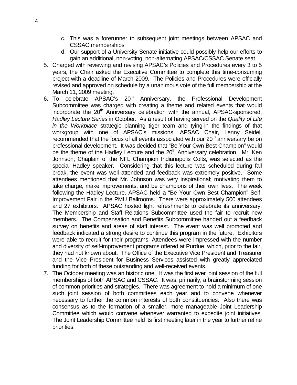- c. This was a forerunner to subsequent joint meetings between APSAC and CSSAC memberships
- d. Our support of a University Senate initiative could possibly help our efforts to gain an additional, non-voting, non-alternating APSAC/CSSAC Senate seat.
- 5. Charged with reviewing and revising APSAC's Policies and Procedures every 3 to 5 years, the Chair asked the Executive Committee to complete this time-consuming project with a deadline of March 2009. The Policies and Procedures were officially revised and approved on schedule by a unanimous vote of the full membership at the March 11, 2009 meeting.
- 6. To celebrate APSAC's 20<sup>th</sup> Anniversary, the Professional Development Subcommittee was charged with creating a theme and related events that would incorporate the  $20<sup>th</sup>$  Anniversary celebration with the annual, APSAC-sponsored, *Hadley Lecture Series* in October. As a result of having served on the *Quality of Life in the Workplace* strategic planning tiger team and tying-in the findings of that workgroup with one of APSAC's missions, APSAC Chair, Lenny Seidel, recommended that the focus of all events associated with our 20<sup>th</sup> anniversary be on professional development. It was decided that "Be Your Own Best Champion" would be the theme of the Hadley Lecture and the  $20<sup>th</sup>$  Anniversary celebration. Mr. Ken Johnson, Chaplain of the NFL Champion Indianapolis Colts, was selected as the special Hadley speaker. Considering that this lecture was scheduled during fall break, the event was well attended and feedback was extremely positive. Some attendees mentioned that Mr. Johnson was very inspirational; motivating them to take charge, make improvements, and be champions of their own lives. The week following the Hadley Lecture, APSAC held a "Be Your Own Best Champion" Self-Improvement Fair in the PMU Ballrooms. There were approximately 500 attendees and 27 exhibitors. APSAC hosted light refreshments to celebrate its anniversary. The Membership and Staff Relations Subcommittee used the fair to recruit new members. The Compensation and Benefits Subcommittee handed out a feedback survey on benefits and areas of staff interest. The event was well promoted and feedback indicated a strong desire to continue this program in the future. Exhibitors were able to recruit for their programs. Attendees were impressed with the number and diversity of self-improvement programs offered at Purdue, which, prior to the fair, they had not known about. The Office of the Executive Vice President and Treasurer and the Vice President for Business Services assisted with greatly appreciated funding for both of these outstanding and well-received events.
- 7. The October meeting was an historic one. It was the first ever joint session of the full memberships of both APSAC and CSSAC. It was, primarily, a brainstorming session of common priorities and strategies. There was agreement to hold a minimum of one such joint session of both committees each year and to convene whenever necessary to further the common interests of both constituencies. Also there was consensus as to the formation of a smaller, more manageable Joint Leadership Committee which would convene whenever warranted to expedite joint initiatives. The Joint Leadership Committee held its first meeting later in the year to further refine priorities.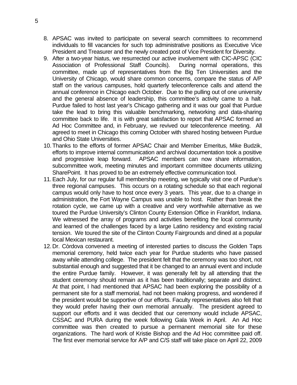- 8. APSAC was invited to participate on several search committees to recommend individuals to fill vacancies for such top administrative positions as Executive Vice President and Treasurer and the newly created post of Vice President for Diversity.
- 9. After a two-year hiatus, we resurrected our active involvement with CIC-APSC (CIC Association of Professional Staff Councils). During normal operations, this committee, made up of representatives from the Big Ten Universities and the University of Chicago, would share common concerns, compare the status of A/P staff on the various campuses, hold quarterly teleconference calls and attend the annual conference in Chicago each October. Due to the pulling out of one university and the general absence of leadership, this committee's activity came to a halt. Purdue failed to host last year's Chicago gathering and it was our goal that Purdue take the lead to bring this valuable benchmarking, networking and data-sharing committee back to life. It is with great satisfaction to report that APSAC formed an Ad Hoc Committee and, in February, we revived our teleconference meeting. All agreed to meet in Chicago this coming October with shared hosting between Purdue and Ohio State Universities.
- 10. Thanks to the efforts of former APSAC Chair and Member Emeritus, Mike Budzik, efforts to improve internal communication and archival documentation took a positive and progressive leap forward. APSAC members can now share information, subcommittee work, meeting minutes and important committee documents utilizing SharePoint. It has proved to be an extremely effective communication tool.
- 11. Each July, for our regular full membership meeting, we typically visit one of Purdue's three regional campuses. This occurs on a rotating schedule so that each regional campus would only have to host once every 3 years. This year, due to a change in administration, the Fort Wayne Campus was unable to host. Rather than break the rotation cycle, we came up with a creative and very worthwhile alternative as we toured the Purdue University's Clinton County Extension Office in Frankfort, Indiana. We witnessed the array of programs and activities benefiting the local community and learned of the challenges faced by a large Latino residency and existing racial tension. We toured the site of the Clinton County Fairgrounds and dined at a popular local Mexican restaurant.
- 12. Dr. Còrdova convened a meeting of interested parties to discuss the Golden Taps memorial ceremony, held twice each year for Purdue students who have passed away while attending college. The president felt that the ceremony was too short, not substantial enough and suggested that it be changed to an annual event and include the entire Purdue family. However, it was generally felt by all attending that the student ceremony should remain as it has been traditionally; separate and distinct. At that point, I had mentioned that APSAC had been exploring the possibility of a permanent site for a staff memorial, had not been making progress, and wondered if the president would be supportive of our efforts. Faculty representatives also felt that they would prefer having their own memorial annually. The president agreed to support our efforts and it was decided that our ceremony would include APSAC, CSSAC and PURA during the week following Gala Week in April. An Ad Hoc committee was then created to pursue a permanent memorial site for these organizations. The hard work of Kristie Bishop and the Ad Hoc committee paid off. The first ever memorial service for A/P and C/S staff will take place on April 22, 2009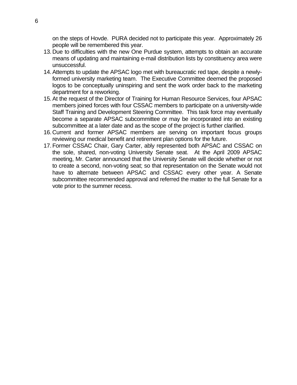on the steps of Hovde. PURA decided not to participate this year. Approximately 26 people will be remembered this year.

- 13. Due to difficulties with the new One Purdue system, attempts to obtain an accurate means of updating and maintaining e-mail distribution lists by constituency area were unsuccessful.
- 14. Attempts to update the APSAC logo met with bureaucratic red tape, despite a newlyformed university marketing team. The Executive Committee deemed the proposed logos to be conceptually uninspiring and sent the work order back to the marketing department for a reworking.
- 15. At the request of the Director of Training for Human Resource Services, four APSAC members joined forces with four CSSAC members to participate on a university-wide Staff Training and Development Steering Committee. This task force may eventually become a separate APSAC subcommittee or may be incorporated into an existing subcommittee at a later date and as the scope of the project is further clarified.
- 16. Current and former APSAC members are serving on important focus groups reviewing our medical benefit and retirement plan options for the future.
- 17. Former CSSAC Chair, Gary Carter, ably represented both APSAC and CSSAC on the sole, shared, non-voting University Senate seat. At the April 2009 APSAC meeting, Mr. Carter announced that the University Senate will decide whether or not to create a second, non-voting seat; so that representation on the Senate would not have to alternate between APSAC and CSSAC every other year. A Senate subcommittee recommended approval and referred the matter to the full Senate for a vote prior to the summer recess.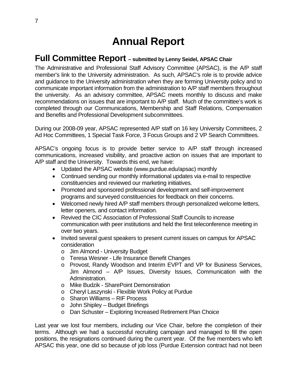# **Annual Report**

### <span id="page-6-0"></span>**Full Committee Report – submitted by Lenny Seidel, APSAC Chair**

The Administrative and Professional Staff Advisory Committee (APSAC), is the A/P staff member's link to the University administration. As such, APSAC's role is to provide advice and guidance to the University administration when they are forming University policy and to communicate important information from the administration to A/P staff members throughout the university. As an advisory committee, APSAC meets monthly to discuss and make recommendations on issues that are important to A/P staff. Much of the committee's work is completed through our Communications, Membership and Staff Relations, Compensation and Benefits and Professional Development subcommittees.

During our 2008-09 year, APSAC represented A/P staff on 16 key University Committees, 2 Ad Hoc Committees, 1 Special Task Force, 3 Focus Groups and 2 VP Search Committees.

APSAC's ongoing focus is to provide better service to A/P staff through increased communications, increased visibility, and proactive action on issues that are important to A/P staff and the University. Towards this end, we have:

- Updated the APSAC website (www.purdue.edu/apsac) monthly
- Continued sending our monthly informational updates via e-mail to respective constituencies and reviewed our marketing initiatives.
- Promoted and sponsored professional development and self-improvement programs and surveyed constituencies for feedback on their concerns.
- Welcomed newly hired A/P staff members through personalized welcome letters, letter openers, and contact information.
- Revived the CIC Association of Professional Staff Councils to increase communication with peer institutions and held the first teleconference meeting in over two years.
- Invited several guest speakers to present current issues on campus for APSAC consideration
	- o Jim Almond University Budget
	- o Teresa Wesner Life Insurance Benefit Changes
	- o Provost, Randy Woodson and Interim EVPT and VP for Business Services, Jim Almond – A/P Issues, Diversity Issues, Communication with the Administration.
	- o Mike Budzik SharePoint Demonstration
	- o Cheryl Laszynski Flexible Work Policy at Purdue
	- o Sharon Williams RIF Process
	- $\circ$  John Shipley Budget Briefings
	- o Dan Schuster Exploring Increased Retirement Plan Choice

Last year we lost four members, including our Vice Chair, before the completion of their terms. Although we had a successful recruiting campaign and managed to fill the open positions, the resignations continued during the current year. Of the five members who left APSAC this year, one did so because of job loss (Purdue Extension contract had not been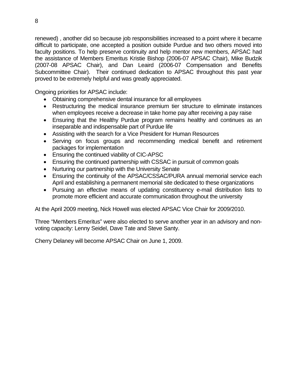renewed) , another did so because job responsibilities increased to a point where it became difficult to participate, one accepted a position outside Purdue and two others moved into faculty positions. To help preserve continuity and help mentor new members, APSAC had the assistance of Members Emeritus Kristie Bishop (2006-07 APSAC Chair), Mike Budzik (2007-08 APSAC Chair), and Dan Leaird (2006-07 Compensation and Benefits Subcommittee Chair). Their continued dedication to APSAC throughout this past year proved to be extremely helpful and was greatly appreciated.

Ongoing priorities for APSAC include:

- Obtaining comprehensive dental insurance for all employees
- Restructuring the medical insurance premium tier structure to eliminate instances when employees receive a decrease in take home pay after receiving a pay raise
- Ensuring that the Healthy Purdue program remains healthy and continues as an inseparable and indispensable part of Purdue life
- Assisting with the search for a Vice President for Human Resources
- Serving on focus groups and recommending medical benefit and retirement packages for implementation
- Ensuring the continued viability of CIC-APSC
- Ensuring the continued partnership with CSSAC in pursuit of common goals
- Nurturing our partnership with the University Senate
- Ensuring the continuity of the APSAC/CSSAC/PURA annual memorial service each April and establishing a permanent memorial site dedicated to these organizations
- Pursuing an effective means of updating constituency e-mail distribution lists to promote more efficient and accurate communication throughout the university

At the April 2009 meeting, Nick Howell was elected APSAC Vice Chair for 2009/2010.

Three "Members Emeritus" were also elected to serve another year in an advisory and nonvoting capacity: Lenny Seidel, Dave Tate and Steve Santy.

Cherry Delaney will become APSAC Chair on June 1, 2009.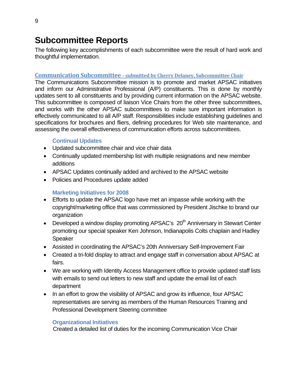## <span id="page-8-0"></span>**Subcommittee Reports**

The following key accomplishments of each subcommittee were the result of hard work and thoughtful implementation.

#### **Communication Subcommittee – submitted by Cherry Delaney, Subcommittee Chair**

The Communications Subcommittee mission is to promote and market APSAC initiatives and inform our Administrative Professional (A/P) constituents. This is done by monthly updates sent to all constituents and by providing current information on the APSAC website. This subcommittee is composed of liaison Vice Chairs from the other three subcommittees, and works with the other APSAC subcommittees to make sure important information is effectively communicated to all A/P staff. Responsibilities include establishing guidelines and specifications for brochures and fliers, defining procedures for Web site maintenance, and assessing the overall effectiveness of communication efforts across subcommittees.

#### **Continual Updates**

- Updated subcommittee chair and vice chair data
- Continually updated membership list with multiple resignations and new member additions
- APSAC Updates continually added and archived to the APSAC website
- Policies and Procedures update added

#### **Marketing Initiatives for 2008**

- Efforts to update the APSAC logo have met an impasse while working with the copyright/marketing office that was commissioned by President Jischke to brand our organization
- Developed a window display promoting APSAC's 20<sup>th</sup> Anniversary in Stewart Center promoting our special speaker Ken Johnson, Indianapolis Colts chaplain and Hadley Speaker
- Assisted in coordinating the APSAC's 20th Anniversary Self-Improvement Fair
- Created a tri-fold display to attract and engage staff in conversation about APSAC at fairs.
- We are working with Identity Access Management office to provide updated staff lists with emails to send out letters to new staff and update the email list of each department
- In an effort to grow the visibility of APSAC and grow its influence, four APSAC representatives are serving as members of the Human Resources Training and Professional Development Steering committee

#### **Organizational Initiatives**

Created a detailed list of duties for the incoming Communication Vice Chair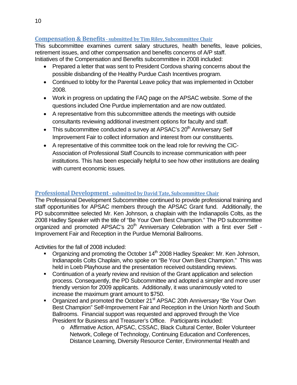#### <span id="page-9-0"></span>**Compensation & Benefits submitted by Tim Riley, Subcommittee Chair**

This subcommittee examines current salary structures, health benefits, leave policies, retirement issues, and other compensation and benefits concerns of A/P staff. Initiatives of the Compensation and Benefits subcommittee in 2008 included:

- Prepared a letter that was sent to President Cordova sharing concerns about the possible disbanding of the Healthy Purdue Cash Incentives program.
- Continued to lobby for the Parental Leave policy that was implemented in October 2008.
- Work in progress on updating the FAQ page on the APSAC website. Some of the questions included One Purdue implementation and are now outdated.
- A representative from this subcommittee attends the meetings with outside consultants reviewing additional investment options for faculty and staff.
- This subcommittee conducted a survey at APSAC's  $20<sup>th</sup>$  Anniversary Self Improvement Fair to collect information and interest from our constituents.
- A representative of this committee took on the lead role for reviving the CIC-Association of Professional Staff Councils to increase communication with peer institutions. This has been especially helpful to see how other institutions are dealing with current economic issues.

#### **Professional Development submitted by David Tate, Subcommittee Chair**

The Professional Development Subcommittee continued to provide professional training and staff opportunities for APSAC members through the APSAC Grant fund. Additionally, the PD subcommittee selected Mr. Ken Johnson, a chaplain with the Indianapolis Colts, as the 2008 Hadley Speaker with the title of "Be Your Own Best Champion." The PD subcommittee organized and promoted APSAC's 20<sup>th</sup> Anniversary Celebration with a first ever Self -Improvement Fair and Reception in the Purdue Memorial Ballrooms.

Activities for the fall of 2008 included:

- Organizing and promoting the October 14<sup>th</sup> 2008 Hadley Speaker: Mr. Ken Johnson, Indianapolis Colts Chaplain, who spoke on "Be Your Own Best Champion." This was held in Loeb Playhouse and the presentation received outstanding reviews.
- Continuation of a yearly review and revision of the Grant application and selection process. Consequently, the PD Subcommittee and adopted a simpler and more user friendly version for 2009 applicants. Additionally, it was unanimously voted to increase the maximum grant amount to \$750.
- Organized and promoted the October 21<sup>st</sup> APSAC 20th Anniversary "Be Your Own Best Champion" Self-Improvement Fair and Reception in the Union North and South Ballrooms. Financial support was requested and approved through the Vice President for Business and Treasurer's Office. Participants included:
	- o Affirmative Action, APSAC, CSSAC, Black Cultural Center, Boiler Volunteer Network, College of Technology, Continuing Education and Conferences, Distance Learning, Diversity Resource Center, Environmental Health and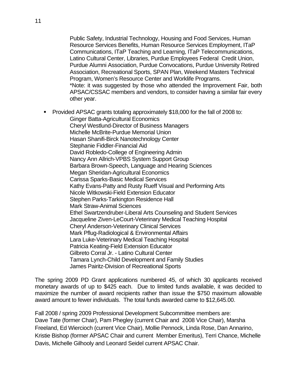Public Safety, Industrial Technology, Housing and Food Services, Human Resource Services Benefits, Human Resource Services Employment, ITaP Communications, ITaP Teaching and Learning, ITaP Telecommunications, Latino Cultural Center, Libraries, Purdue Employees Federal Credit Union, Purdue Alumni Association, Purdue Convocations, Purdue University Retired Association, Recreational Sports, SPAN Plan, Weekend Masters Technical Program, Women's Resource Center and Worklife Programs. \*Note: it was suggested by those who attended the Improvement Fair, both APSAC/CSSAC members and vendors, to consider having a similar fair every other year.

**Provided APSAC grants totaling approximately \$18,000 for the fall of 2008 to:** 

Ginger Batta-Agricultural Economics Cheryl Westlund-Director of Business Managers Michelle McBrite-Purdue Memorial Union Hasan Shanifi-Birck Nanotechnology Center Stephanie Fiddler-Financial Aid David Robledo-College of Engineering Admin Nancy Ann Allrich-VPBS System Support Group Barbara Brown-Speech, Language and Hearing Sciences Megan Sheridan-Agricultural Economics Carissa Sparks-Basic Medical Services Kathy Evans-Patty and Rusty Rueff Visual and Performing Arts Nicole Witkowski-Field Extension Educator Stephen Parks-Tarkington Residence Hall Mark Straw-Animal Sciences Ethel Swartzendruber-Liberal Arts Counseling and Student Services Jacqueline Ziven-LeCourt-Veterinary Medical Teaching Hospital Cheryl Anderson-Veterinary Clinical Services Mark Pflug-Radiological & Environmental Affairs Lara Luke-Veterinary Medical Teaching Hospital Patricia Keating-Field Extension Educator Gilbreto Corral Jr. - Latino Cultural Center Tamara Lynch-Child Development and Family Studies James Pairitz-Division of Recreational Sports

The spring 2009 PD Grant applications numbered 45, of which 30 applicants received monetary awards of up to \$425 each. Due to limited funds available, it was decided to maximize the number of award recipients rather than issue the \$750 maximum allowable award amount to fewer individuals. The total funds awarded came to \$12,645.00.

Fall 2008 / spring 2009 Professional Development Subcommittee members are: Dave Tate (former Chair), Pam Phegley (current Chair and 2008 Vice Chair), Marsha Freeland, Ed Wiercioch (current Vice Chair), Mollie Pennock, Linda Rose, Dan Annarino, Kristie Bishop (former APSAC Chair and current Member Emeritus), Terri Chance, Michelle Davis, Michelle Gilhooly and Leonard Seidel current APSAC Chair.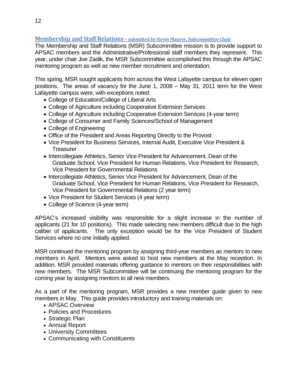#### <span id="page-11-0"></span>**Membership and Staff Relations submitted byKevin Maurer, Subcommittee Chair**

The Membership and Staff Relations (MSR) Subcommittee mission is to provide support to APSAC members and the Administrative/Professional staff members they represent. This year, under chair Joe Zadik, the MSR Subcommittee accomplished this through the APSAC mentoring program as well as new member recruitment and orientation.

This spring, MSR sought applicants from across the West Lafayette campus for eleven open positions. The areas of vacancy for the June 1, 2008 – May 31, 2011 term for the West Lafayette campus were, with exceptions noted:

- College of Education/College of Liberal Arts
- College of Agriculture including Cooperative Extension Services
- College of Agriculture including Cooperative Extension Services (4-year term)
- College of Consumer and Family Sciences/School of Management
- College of Engineering
- Office of the President and Areas Reporting Directly to the Provost
- Vice President for Business Services, Internal Audit, Executive Vice President & **Treasurer**
- Intercollegiate Athletics, Senior Vice President for Advancement, Dean of the Graduate School, Vice President for Human Relations, Vice President for Research, Vice President for Governmental Relations
- Intercollegiate Athletics, Senior Vice President for Advancement, Dean of the Graduate School, Vice President for Human Relations, Vice President for Research, Vice President for Governmental Relations (2 year term)
- Vice President for Student Services (4 year term)
- College of Science (4-year term)

APSAC's increased visibility was responsible for a slight increase in the number of applicants (21 for 10 positions). This made selecting new members difficult due to the high caliber of applicants. The only exception would be for the Vice President of Student Services where no one initially applied.

MSR continued the mentoring program by assigning third-year members as mentors to new members in April. Mentors were asked to host new members at the May reception. In addition, MSR provided materials offering guidance to mentors on their responsibilities with new members. The MSR Subcommittee will be continuing the mentoring program for the coming year by assigning mentors to all new members.

As a part of the mentoring program, MSR provides a new member guide given to new members in May. This guide provides introductory and training materials on:

- APSAC Overview
- Policies and Procedures
- Strategic Plan
- Annual Report
- University Committees
- Communicating with Constituents